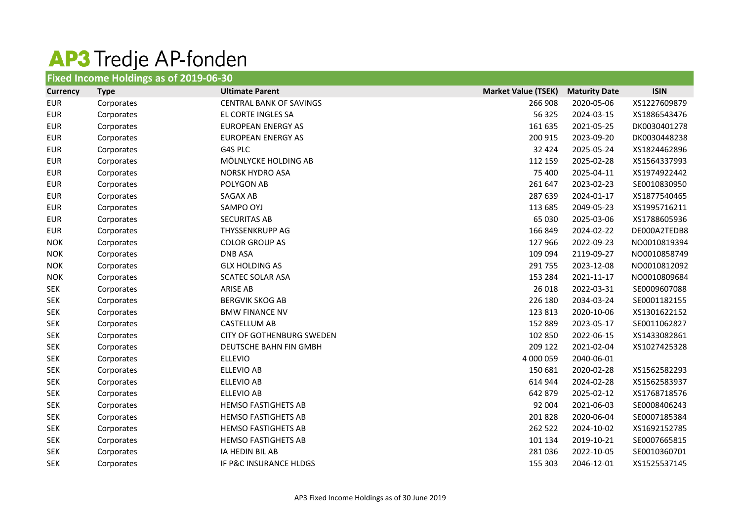## AP3 Tredje AP-fonden

| Fixed Income Holdings as of 2019-06-30 |             |                                |                            |                      |              |  |
|----------------------------------------|-------------|--------------------------------|----------------------------|----------------------|--------------|--|
| <b>Currency</b>                        | <b>Type</b> | <b>Ultimate Parent</b>         | <b>Market Value (TSEK)</b> | <b>Maturity Date</b> | <b>ISIN</b>  |  |
| <b>EUR</b>                             | Corporates  | <b>CENTRAL BANK OF SAVINGS</b> | 266 908                    | 2020-05-06           | XS1227609879 |  |
| <b>EUR</b>                             | Corporates  | EL CORTE INGLES SA             | 56 325                     | 2024-03-15           | XS1886543476 |  |
| <b>EUR</b>                             | Corporates  | <b>EUROPEAN ENERGY AS</b>      | 161 635                    | 2021-05-25           | DK0030401278 |  |
| <b>EUR</b>                             | Corporates  | <b>EUROPEAN ENERGY AS</b>      | 200 915                    | 2023-09-20           | DK0030448238 |  |
| <b>EUR</b>                             | Corporates  | G4S PLC                        | 32 4 24                    | 2025-05-24           | XS1824462896 |  |
| <b>EUR</b>                             | Corporates  | MÖLNLYCKE HOLDING AB           | 112 159                    | 2025-02-28           | XS1564337993 |  |
| <b>EUR</b>                             | Corporates  | <b>NORSK HYDRO ASA</b>         | 75 400                     | 2025-04-11           | XS1974922442 |  |
| <b>EUR</b>                             | Corporates  | POLYGON AB                     | 261 647                    | 2023-02-23           | SE0010830950 |  |
| <b>EUR</b>                             | Corporates  | <b>SAGAX AB</b>                | 287 639                    | 2024-01-17           | XS1877540465 |  |
| <b>EUR</b>                             | Corporates  | <b>SAMPO OYJ</b>               | 113 685                    | 2049-05-23           | XS1995716211 |  |
| <b>EUR</b>                             | Corporates  | <b>SECURITAS AB</b>            | 65 030                     | 2025-03-06           | XS1788605936 |  |
| <b>EUR</b>                             | Corporates  | <b>THYSSENKRUPP AG</b>         | 166 849                    | 2024-02-22           | DE000A2TEDB8 |  |
| <b>NOK</b>                             | Corporates  | <b>COLOR GROUP AS</b>          | 127 966                    | 2022-09-23           | NO0010819394 |  |
| <b>NOK</b>                             | Corporates  | <b>DNB ASA</b>                 | 109 094                    | 2119-09-27           | NO0010858749 |  |
| <b>NOK</b>                             | Corporates  | <b>GLX HOLDING AS</b>          | 291 755                    | 2023-12-08           | NO0010812092 |  |
| <b>NOK</b>                             | Corporates  | <b>SCATEC SOLAR ASA</b>        | 153 284                    | 2021-11-17           | NO0010809684 |  |
| <b>SEK</b>                             | Corporates  | <b>ARISE AB</b>                | 26 018                     | 2022-03-31           | SE0009607088 |  |
| <b>SEK</b>                             | Corporates  | <b>BERGVIK SKOG AB</b>         | 226 180                    | 2034-03-24           | SE0001182155 |  |
| <b>SEK</b>                             | Corporates  | <b>BMW FINANCE NV</b>          | 123 813                    | 2020-10-06           | XS1301622152 |  |
| <b>SEK</b>                             | Corporates  | <b>CASTELLUM AB</b>            | 152 889                    | 2023-05-17           | SE0011062827 |  |
| <b>SEK</b>                             | Corporates  | CITY OF GOTHENBURG SWEDEN      | 102 850                    | 2022-06-15           | XS1433082861 |  |
| <b>SEK</b>                             | Corporates  | DEUTSCHE BAHN FIN GMBH         | 209 122                    | 2021-02-04           | XS1027425328 |  |
| <b>SEK</b>                             | Corporates  | <b>ELLEVIO</b>                 | 4 000 059                  | 2040-06-01           |              |  |
| <b>SEK</b>                             | Corporates  | <b>ELLEVIO AB</b>              | 150 681                    | 2020-02-28           | XS1562582293 |  |
| <b>SEK</b>                             | Corporates  | ELLEVIO AB                     | 614 944                    | 2024-02-28           | XS1562583937 |  |
| <b>SEK</b>                             | Corporates  | ELLEVIO AB                     | 642 879                    | 2025-02-12           | XS1768718576 |  |
| <b>SEK</b>                             | Corporates  | <b>HEMSO FASTIGHETS AB</b>     | 92 004                     | 2021-06-03           | SE0008406243 |  |
| <b>SEK</b>                             | Corporates  | <b>HEMSO FASTIGHETS AB</b>     | 201 828                    | 2020-06-04           | SE0007185384 |  |
| <b>SEK</b>                             | Corporates  | <b>HEMSO FASTIGHETS AB</b>     | 262 522                    | 2024-10-02           | XS1692152785 |  |
| <b>SEK</b>                             | Corporates  | <b>HEMSO FASTIGHETS AB</b>     | 101 134                    | 2019-10-21           | SE0007665815 |  |
| <b>SEK</b>                             | Corporates  | IA HEDIN BIL AB                | 281 036                    | 2022-10-05           | SE0010360701 |  |
| <b>SEK</b>                             | Corporates  | IF P&C INSURANCE HLDGS         | 155 303                    | 2046-12-01           | XS1525537145 |  |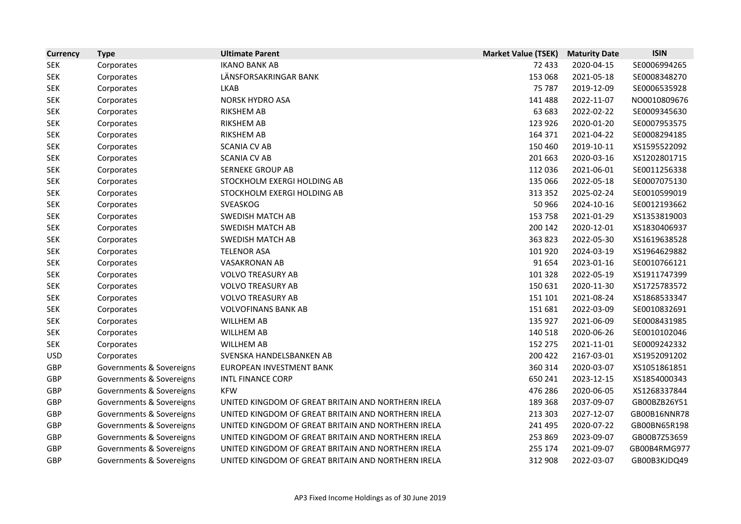| <b>Currency</b> | <b>Type</b>              | <b>Ultimate Parent</b>                             | <b>Market Value (TSEK)</b> | <b>Maturity Date</b> | <b>ISIN</b>  |
|-----------------|--------------------------|----------------------------------------------------|----------------------------|----------------------|--------------|
| <b>SEK</b>      | Corporates               | <b>IKANO BANK AB</b>                               | 72 433                     | 2020-04-15           | SE0006994265 |
| <b>SEK</b>      | Corporates               | LÄNSFORSAKRINGAR BANK                              | 153 068                    | 2021-05-18           | SE0008348270 |
| <b>SEK</b>      | Corporates               | <b>LKAB</b>                                        | 75 787                     | 2019-12-09           | SE0006535928 |
| <b>SEK</b>      | Corporates               | <b>NORSK HYDRO ASA</b>                             | 141 488                    | 2022-11-07           | NO0010809676 |
| <b>SEK</b>      | Corporates               | <b>RIKSHEM AB</b>                                  | 63 683                     | 2022-02-22           | SE0009345630 |
| <b>SEK</b>      | Corporates               | <b>RIKSHEM AB</b>                                  | 123 926                    | 2020-01-20           | SE0007953575 |
| <b>SEK</b>      | Corporates               | <b>RIKSHEM AB</b>                                  | 164 371                    | 2021-04-22           | SE0008294185 |
| <b>SEK</b>      | Corporates               | <b>SCANIA CV AB</b>                                | 150 460                    | 2019-10-11           | XS1595522092 |
| <b>SEK</b>      | Corporates               | <b>SCANIA CV AB</b>                                | 201 663                    | 2020-03-16           | XS1202801715 |
| <b>SEK</b>      | Corporates               | <b>SERNEKE GROUP AB</b>                            | 112 036                    | 2021-06-01           | SE0011256338 |
| <b>SEK</b>      | Corporates               | STOCKHOLM EXERGI HOLDING AB                        | 135 066                    | 2022-05-18           | SE0007075130 |
| <b>SEK</b>      | Corporates               | STOCKHOLM EXERGI HOLDING AB                        | 313 352                    | 2025-02-24           | SE0010599019 |
| <b>SEK</b>      | Corporates               | SVEASKOG                                           | 50 966                     | 2024-10-16           | SE0012193662 |
| <b>SEK</b>      | Corporates               | <b>SWEDISH MATCH AB</b>                            | 153 758                    | 2021-01-29           | XS1353819003 |
| <b>SEK</b>      | Corporates               | <b>SWEDISH MATCH AB</b>                            | 200 142                    | 2020-12-01           | XS1830406937 |
| <b>SEK</b>      | Corporates               | <b>SWEDISH MATCH AB</b>                            | 363 823                    | 2022-05-30           | XS1619638528 |
| <b>SEK</b>      | Corporates               | <b>TELENOR ASA</b>                                 | 101 920                    | 2024-03-19           | XS1964629882 |
| <b>SEK</b>      | Corporates               | <b>VASAKRONAN AB</b>                               | 91 654                     | 2023-01-16           | SE0010766121 |
| <b>SEK</b>      | Corporates               | <b>VOLVO TREASURY AB</b>                           | 101 328                    | 2022-05-19           | XS1911747399 |
| <b>SEK</b>      | Corporates               | <b>VOLVO TREASURY AB</b>                           | 150 631                    | 2020-11-30           | XS1725783572 |
| <b>SEK</b>      | Corporates               | <b>VOLVO TREASURY AB</b>                           | 151 101                    | 2021-08-24           | XS1868533347 |
| <b>SEK</b>      | Corporates               | <b>VOLVOFINANS BANK AB</b>                         | 151 681                    | 2022-03-09           | SE0010832691 |
| <b>SEK</b>      | Corporates               | <b>WILLHEM AB</b>                                  | 135 927                    | 2021-06-09           | SE0008431985 |
| <b>SEK</b>      | Corporates               | <b>WILLHEM AB</b>                                  | 140 518                    | 2020-06-26           | SE0010102046 |
| <b>SEK</b>      | Corporates               | <b>WILLHEM AB</b>                                  | 152 275                    | 2021-11-01           | SE0009242332 |
| <b>USD</b>      | Corporates               | SVENSKA HANDELSBANKEN AB                           | 200 422                    | 2167-03-01           | XS1952091202 |
| GBP             | Governments & Sovereigns | EUROPEAN INVESTMENT BANK                           | 360 314                    | 2020-03-07           | XS1051861851 |
| GBP             | Governments & Sovereigns | <b>INTL FINANCE CORP</b>                           | 650 241                    | 2023-12-15           | XS1854000343 |
| GBP             | Governments & Sovereigns | <b>KFW</b>                                         | 476 286                    | 2020-06-05           | XS1268337844 |
| <b>GBP</b>      | Governments & Sovereigns | UNITED KINGDOM OF GREAT BRITAIN AND NORTHERN IRELA | 189 368                    | 2037-09-07           | GB00BZB26Y51 |
| <b>GBP</b>      | Governments & Sovereigns | UNITED KINGDOM OF GREAT BRITAIN AND NORTHERN IRELA | 213 303                    | 2027-12-07           | GB00B16NNR78 |
| <b>GBP</b>      | Governments & Sovereigns | UNITED KINGDOM OF GREAT BRITAIN AND NORTHERN IRELA | 241 495                    | 2020-07-22           | GB00BN65R198 |
| GBP             | Governments & Sovereigns | UNITED KINGDOM OF GREAT BRITAIN AND NORTHERN IRELA | 253 869                    | 2023-09-07           | GB00B7Z53659 |
| GBP             | Governments & Sovereigns | UNITED KINGDOM OF GREAT BRITAIN AND NORTHERN IRELA | 255 174                    | 2021-09-07           | GB00B4RMG977 |
| GBP             | Governments & Sovereigns | UNITED KINGDOM OF GREAT BRITAIN AND NORTHERN IRELA | 312 908                    | 2022-03-07           | GB00B3KJDQ49 |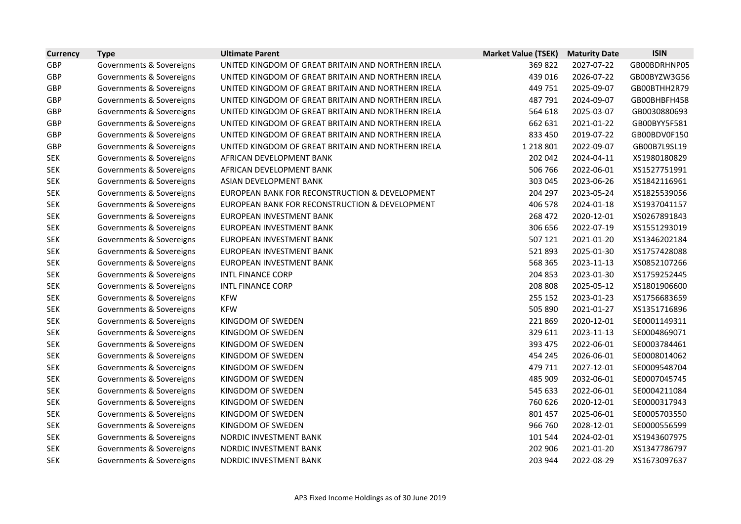| <b>Currency</b> | <b>Type</b>              | <b>Ultimate Parent</b>                             | <b>Market Value (TSEK)</b> | <b>Maturity Date</b> | <b>ISIN</b>  |
|-----------------|--------------------------|----------------------------------------------------|----------------------------|----------------------|--------------|
| <b>GBP</b>      | Governments & Sovereigns | UNITED KINGDOM OF GREAT BRITAIN AND NORTHERN IRELA | 369 822                    | 2027-07-22           | GB00BDRHNP05 |
| GBP             | Governments & Sovereigns | UNITED KINGDOM OF GREAT BRITAIN AND NORTHERN IRELA | 439 016                    | 2026-07-22           | GB00BYZW3G56 |
| <b>GBP</b>      | Governments & Sovereigns | UNITED KINGDOM OF GREAT BRITAIN AND NORTHERN IRELA | 449 751                    | 2025-09-07           | GB00BTHH2R79 |
| GBP             | Governments & Sovereigns | UNITED KINGDOM OF GREAT BRITAIN AND NORTHERN IRELA | 487 791                    | 2024-09-07           | GB00BHBFH458 |
| GBP             | Governments & Sovereigns | UNITED KINGDOM OF GREAT BRITAIN AND NORTHERN IRELA | 564 618                    | 2025-03-07           | GB0030880693 |
| GBP             | Governments & Sovereigns | UNITED KINGDOM OF GREAT BRITAIN AND NORTHERN IRELA | 662 631                    | 2021-01-22           | GB00BYY5F581 |
| <b>GBP</b>      | Governments & Sovereigns | UNITED KINGDOM OF GREAT BRITAIN AND NORTHERN IRELA | 833 450                    | 2019-07-22           | GB00BDV0F150 |
| <b>GBP</b>      | Governments & Sovereigns | UNITED KINGDOM OF GREAT BRITAIN AND NORTHERN IRELA | 1 2 1 8 8 0 1              | 2022-09-07           | GB00B7L9SL19 |
| <b>SEK</b>      | Governments & Sovereigns | AFRICAN DEVELOPMENT BANK                           | 202 042                    | 2024-04-11           | XS1980180829 |
| <b>SEK</b>      | Governments & Sovereigns | AFRICAN DEVELOPMENT BANK                           | 506 766                    | 2022-06-01           | XS1527751991 |
| <b>SEK</b>      | Governments & Sovereigns | ASIAN DEVELOPMENT BANK                             | 303 045                    | 2023-06-26           | XS1842116961 |
| <b>SEK</b>      | Governments & Sovereigns | EUROPEAN BANK FOR RECONSTRUCTION & DEVELOPMENT     | 204 297                    | 2023-05-24           | XS1825539056 |
| <b>SEK</b>      | Governments & Sovereigns | EUROPEAN BANK FOR RECONSTRUCTION & DEVELOPMENT     | 406 578                    | 2024-01-18           | XS1937041157 |
| <b>SEK</b>      | Governments & Sovereigns | EUROPEAN INVESTMENT BANK                           | 268 472                    | 2020-12-01           | XS0267891843 |
| <b>SEK</b>      | Governments & Sovereigns | EUROPEAN INVESTMENT BANK                           | 306 656                    | 2022-07-19           | XS1551293019 |
| <b>SEK</b>      | Governments & Sovereigns | EUROPEAN INVESTMENT BANK                           | 507 121                    | 2021-01-20           | XS1346202184 |
| <b>SEK</b>      | Governments & Sovereigns | EUROPEAN INVESTMENT BANK                           | 521893                     | 2025-01-30           | XS1757428088 |
| <b>SEK</b>      | Governments & Sovereigns | EUROPEAN INVESTMENT BANK                           | 568 365                    | 2023-11-13           | XS0852107266 |
| <b>SEK</b>      | Governments & Sovereigns | <b>INTL FINANCE CORP</b>                           | 204 853                    | 2023-01-30           | XS1759252445 |
| <b>SEK</b>      | Governments & Sovereigns | <b>INTL FINANCE CORP</b>                           | 208 808                    | 2025-05-12           | XS1801906600 |
| <b>SEK</b>      | Governments & Sovereigns | <b>KFW</b>                                         | 255 152                    | 2023-01-23           | XS1756683659 |
| <b>SEK</b>      | Governments & Sovereigns | <b>KFW</b>                                         | 505 890                    | 2021-01-27           | XS1351716896 |
| <b>SEK</b>      | Governments & Sovereigns | KINGDOM OF SWEDEN                                  | 221869                     | 2020-12-01           | SE0001149311 |
| <b>SEK</b>      | Governments & Sovereigns | KINGDOM OF SWEDEN                                  | 329 611                    | 2023-11-13           | SE0004869071 |
| <b>SEK</b>      | Governments & Sovereigns | KINGDOM OF SWEDEN                                  | 393 475                    | 2022-06-01           | SE0003784461 |
| <b>SEK</b>      | Governments & Sovereigns | KINGDOM OF SWEDEN                                  | 454 245                    | 2026-06-01           | SE0008014062 |
| <b>SEK</b>      | Governments & Sovereigns | KINGDOM OF SWEDEN                                  | 479 711                    | 2027-12-01           | SE0009548704 |
| <b>SEK</b>      | Governments & Sovereigns | KINGDOM OF SWEDEN                                  | 485 909                    | 2032-06-01           | SE0007045745 |
| <b>SEK</b>      | Governments & Sovereigns | KINGDOM OF SWEDEN                                  | 545 633                    | 2022-06-01           | SE0004211084 |
| <b>SEK</b>      | Governments & Sovereigns | KINGDOM OF SWEDEN                                  | 760 626                    | 2020-12-01           | SE0000317943 |
| <b>SEK</b>      | Governments & Sovereigns | KINGDOM OF SWEDEN                                  | 801 457                    | 2025-06-01           | SE0005703550 |
| <b>SEK</b>      | Governments & Sovereigns | KINGDOM OF SWEDEN                                  | 966 760                    | 2028-12-01           | SE0000556599 |
| <b>SEK</b>      | Governments & Sovereigns | NORDIC INVESTMENT BANK                             | 101 544                    | 2024-02-01           | XS1943607975 |
| <b>SEK</b>      | Governments & Sovereigns | NORDIC INVESTMENT BANK                             | 202 906                    | 2021-01-20           | XS1347786797 |
| <b>SEK</b>      | Governments & Sovereigns | NORDIC INVESTMENT BANK                             | 203 944                    | 2022-08-29           | XS1673097637 |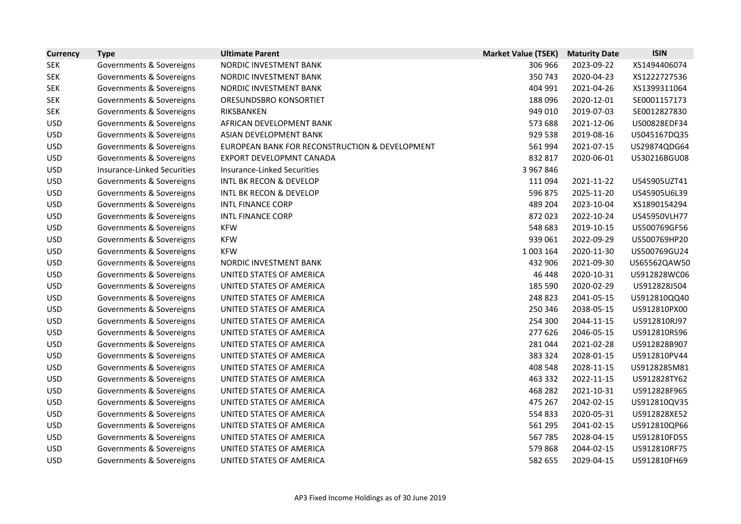| <b>Currency</b> | <b>Type</b>                        | <b>Ultimate Parent</b>                         | <b>Market Value (TSEK)</b> | <b>Maturity Date</b> | <b>ISIN</b>  |
|-----------------|------------------------------------|------------------------------------------------|----------------------------|----------------------|--------------|
| <b>SEK</b>      | Governments & Sovereigns           | NORDIC INVESTMENT BANK                         | 306 966                    | 2023-09-22           | XS1494406074 |
| <b>SEK</b>      | Governments & Sovereigns           | NORDIC INVESTMENT BANK                         | 350 743                    | 2020-04-23           | XS1222727536 |
| <b>SEK</b>      | Governments & Sovereigns           | NORDIC INVESTMENT BANK                         | 404 991                    | 2021-04-26           | XS1399311064 |
| <b>SEK</b>      | Governments & Sovereigns           | ORESUNDSBRO KONSORTIET                         | 188 096                    | 2020-12-01           | SE0001157173 |
| <b>SEK</b>      | Governments & Sovereigns           | RIKSBANKEN                                     | 949 010                    | 2019-07-03           | SE0012827830 |
| <b>USD</b>      | Governments & Sovereigns           | AFRICAN DEVELOPMENT BANK                       | 573 688                    | 2021-12-06           | US00828EDF34 |
| <b>USD</b>      | Governments & Sovereigns           | ASIAN DEVELOPMENT BANK                         | 929 538                    | 2019-08-16           | US045167DQ35 |
| <b>USD</b>      | Governments & Sovereigns           | EUROPEAN BANK FOR RECONSTRUCTION & DEVELOPMENT | 561 994                    | 2021-07-15           | US29874QDG64 |
| <b>USD</b>      | Governments & Sovereigns           | EXPORT DEVELOPMNT CANADA                       | 832 817                    | 2020-06-01           | US30216BGU08 |
| <b>USD</b>      | <b>Insurance-Linked Securities</b> | <b>Insurance-Linked Securities</b>             | 3 967 846                  |                      |              |
| <b>USD</b>      | Governments & Sovereigns           | <b>INTL BK RECON &amp; DEVELOP</b>             | 111 094                    | 2021-11-22           | US45905UZT41 |
| <b>USD</b>      | Governments & Sovereigns           | <b>INTL BK RECON &amp; DEVELOP</b>             | 596 875                    | 2025-11-20           | US45905U6L39 |
| <b>USD</b>      | Governments & Sovereigns           | <b>INTL FINANCE CORP</b>                       | 489 204                    | 2023-10-04           | XS1890154294 |
| <b>USD</b>      | Governments & Sovereigns           | <b>INTL FINANCE CORP</b>                       | 872 023                    | 2022-10-24           | US45950VLH77 |
| <b>USD</b>      | Governments & Sovereigns           | <b>KFW</b>                                     | 548 683                    | 2019-10-15           | US500769GF56 |
| <b>USD</b>      | Governments & Sovereigns           | <b>KFW</b>                                     | 939 061                    | 2022-09-29           | US500769HP20 |
| <b>USD</b>      | Governments & Sovereigns           | <b>KFW</b>                                     | 1 003 164                  | 2020-11-30           | US500769GU24 |
| <b>USD</b>      | Governments & Sovereigns           | NORDIC INVESTMENT BANK                         | 432 906                    | 2021-09-30           | US65562QAW50 |
| <b>USD</b>      | Governments & Sovereigns           | UNITED STATES OF AMERICA                       | 46 448                     | 2020-10-31           | US912828WC06 |
| <b>USD</b>      | Governments & Sovereigns           | UNITED STATES OF AMERICA                       | 185 590                    | 2020-02-29           | US912828J504 |
| <b>USD</b>      | Governments & Sovereigns           | UNITED STATES OF AMERICA                       | 248 823                    | 2041-05-15           | US912810QQ40 |
| <b>USD</b>      | Governments & Sovereigns           | UNITED STATES OF AMERICA                       | 250 346                    | 2038-05-15           | US912810PX00 |
| <b>USD</b>      | Governments & Sovereigns           | UNITED STATES OF AMERICA                       | 254 300                    | 2044-11-15           | US912810RJ97 |
| <b>USD</b>      | Governments & Sovereigns           | UNITED STATES OF AMERICA                       | 277 626                    | 2046-05-15           | US912810RS96 |
| <b>USD</b>      | Governments & Sovereigns           | UNITED STATES OF AMERICA                       | 281 044                    | 2021-02-28           | US912828B907 |
| <b>USD</b>      | Governments & Sovereigns           | UNITED STATES OF AMERICA                       | 383 324                    | 2028-01-15           | US912810PV44 |
| <b>USD</b>      | Governments & Sovereigns           | UNITED STATES OF AMERICA                       | 408 548                    | 2028-11-15           | US9128285M81 |
| <b>USD</b>      | Governments & Sovereigns           | UNITED STATES OF AMERICA                       | 463 332                    | 2022-11-15           | US912828TY62 |
| <b>USD</b>      | Governments & Sovereigns           | UNITED STATES OF AMERICA                       | 468 282                    | 2021-10-31           | US912828F965 |
| <b>USD</b>      | Governments & Sovereigns           | UNITED STATES OF AMERICA                       | 475 267                    | 2042-02-15           | US912810QV35 |
| <b>USD</b>      | Governments & Sovereigns           | UNITED STATES OF AMERICA                       | 554 833                    | 2020-05-31           | US912828XE52 |
| <b>USD</b>      | Governments & Sovereigns           | UNITED STATES OF AMERICA                       | 561 295                    | 2041-02-15           | US912810QP66 |
| <b>USD</b>      | Governments & Sovereigns           | UNITED STATES OF AMERICA                       | 567785                     | 2028-04-15           | US912810FD55 |
| <b>USD</b>      | Governments & Sovereigns           | UNITED STATES OF AMERICA                       | 579 868                    | 2044-02-15           | US912810RF75 |
| <b>USD</b>      | Governments & Sovereigns           | UNITED STATES OF AMERICA                       | 582 655                    | 2029-04-15           | US912810FH69 |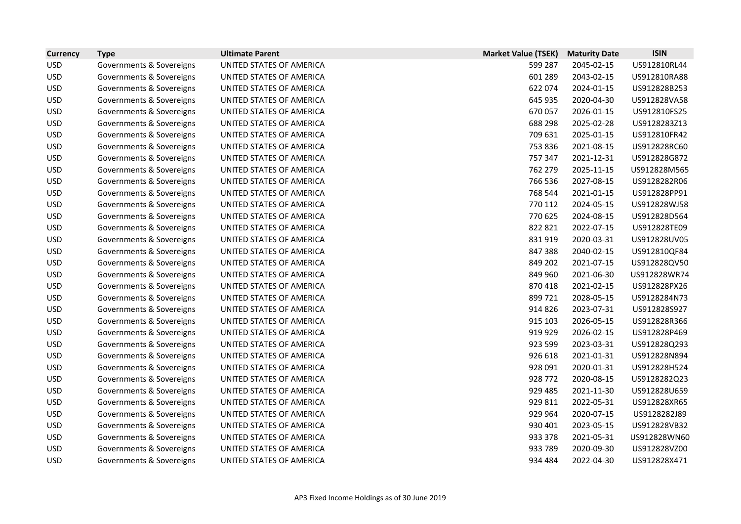| <b>Currency</b> | <b>Type</b>              | <b>Ultimate Parent</b>   | <b>Market Value (TSEK)</b> | <b>Maturity Date</b> | <b>ISIN</b>  |
|-----------------|--------------------------|--------------------------|----------------------------|----------------------|--------------|
| <b>USD</b>      | Governments & Sovereigns | UNITED STATES OF AMERICA | 599 287                    | 2045-02-15           | US912810RL44 |
| <b>USD</b>      | Governments & Sovereigns | UNITED STATES OF AMERICA | 601 289                    | 2043-02-15           | US912810RA88 |
| <b>USD</b>      | Governments & Sovereigns | UNITED STATES OF AMERICA | 622 074                    | 2024-01-15           | US912828B253 |
| <b>USD</b>      | Governments & Sovereigns | UNITED STATES OF AMERICA | 645 935                    | 2020-04-30           | US912828VA58 |
| <b>USD</b>      | Governments & Sovereigns | UNITED STATES OF AMERICA | 670 057                    | 2026-01-15           | US912810FS25 |
| <b>USD</b>      | Governments & Sovereigns | UNITED STATES OF AMERICA | 688 298                    | 2025-02-28           | US9128283Z13 |
| <b>USD</b>      | Governments & Sovereigns | UNITED STATES OF AMERICA | 709 631                    | 2025-01-15           | US912810FR42 |
| <b>USD</b>      | Governments & Sovereigns | UNITED STATES OF AMERICA | 753 836                    | 2021-08-15           | US912828RC60 |
| <b>USD</b>      | Governments & Sovereigns | UNITED STATES OF AMERICA | 757 347                    | 2021-12-31           | US912828G872 |
| <b>USD</b>      | Governments & Sovereigns | UNITED STATES OF AMERICA | 762 279                    | 2025-11-15           | US912828M565 |
| <b>USD</b>      | Governments & Sovereigns | UNITED STATES OF AMERICA | 766 536                    | 2027-08-15           | US9128282R06 |
| <b>USD</b>      | Governments & Sovereigns | UNITED STATES OF AMERICA | 768 544                    | 2021-01-15           | US912828PP91 |
| <b>USD</b>      | Governments & Sovereigns | UNITED STATES OF AMERICA | 770 112                    | 2024-05-15           | US912828WJ58 |
| <b>USD</b>      | Governments & Sovereigns | UNITED STATES OF AMERICA | 770 625                    | 2024-08-15           | US912828D564 |
| <b>USD</b>      | Governments & Sovereigns | UNITED STATES OF AMERICA | 822 821                    | 2022-07-15           | US912828TE09 |
| <b>USD</b>      | Governments & Sovereigns | UNITED STATES OF AMERICA | 831 919                    | 2020-03-31           | US912828UV05 |
| <b>USD</b>      | Governments & Sovereigns | UNITED STATES OF AMERICA | 847 388                    | 2040-02-15           | US912810QF84 |
| <b>USD</b>      | Governments & Sovereigns | UNITED STATES OF AMERICA | 849 202                    | 2021-07-15           | US912828QV50 |
| <b>USD</b>      | Governments & Sovereigns | UNITED STATES OF AMERICA | 849 960                    | 2021-06-30           | US912828WR74 |
| <b>USD</b>      | Governments & Sovereigns | UNITED STATES OF AMERICA | 870 418                    | 2021-02-15           | US912828PX26 |
| <b>USD</b>      | Governments & Sovereigns | UNITED STATES OF AMERICA | 899 721                    | 2028-05-15           | US9128284N73 |
| <b>USD</b>      | Governments & Sovereigns | UNITED STATES OF AMERICA | 914 826                    | 2023-07-31           | US912828S927 |
| <b>USD</b>      | Governments & Sovereigns | UNITED STATES OF AMERICA | 915 103                    | 2026-05-15           | US912828R366 |
| <b>USD</b>      | Governments & Sovereigns | UNITED STATES OF AMERICA | 919 929                    | 2026-02-15           | US912828P469 |
| <b>USD</b>      | Governments & Sovereigns | UNITED STATES OF AMERICA | 923 599                    | 2023-03-31           | US912828Q293 |
| <b>USD</b>      | Governments & Sovereigns | UNITED STATES OF AMERICA | 926 618                    | 2021-01-31           | US912828N894 |
| <b>USD</b>      | Governments & Sovereigns | UNITED STATES OF AMERICA | 928 091                    | 2020-01-31           | US912828H524 |
| <b>USD</b>      | Governments & Sovereigns | UNITED STATES OF AMERICA | 928 772                    | 2020-08-15           | US9128282Q23 |
| <b>USD</b>      | Governments & Sovereigns | UNITED STATES OF AMERICA | 929 485                    | 2021-11-30           | US912828U659 |
| <b>USD</b>      | Governments & Sovereigns | UNITED STATES OF AMERICA | 929 811                    | 2022-05-31           | US912828XR65 |
| <b>USD</b>      | Governments & Sovereigns | UNITED STATES OF AMERICA | 929 964                    | 2020-07-15           | US9128282J89 |
| <b>USD</b>      | Governments & Sovereigns | UNITED STATES OF AMERICA | 930 401                    | 2023-05-15           | US912828VB32 |
| <b>USD</b>      | Governments & Sovereigns | UNITED STATES OF AMERICA | 933 378                    | 2021-05-31           | US912828WN60 |
| <b>USD</b>      | Governments & Sovereigns | UNITED STATES OF AMERICA | 933 789                    | 2020-09-30           | US912828VZ00 |
| <b>USD</b>      | Governments & Sovereigns | UNITED STATES OF AMERICA | 934 484                    | 2022-04-30           | US912828X471 |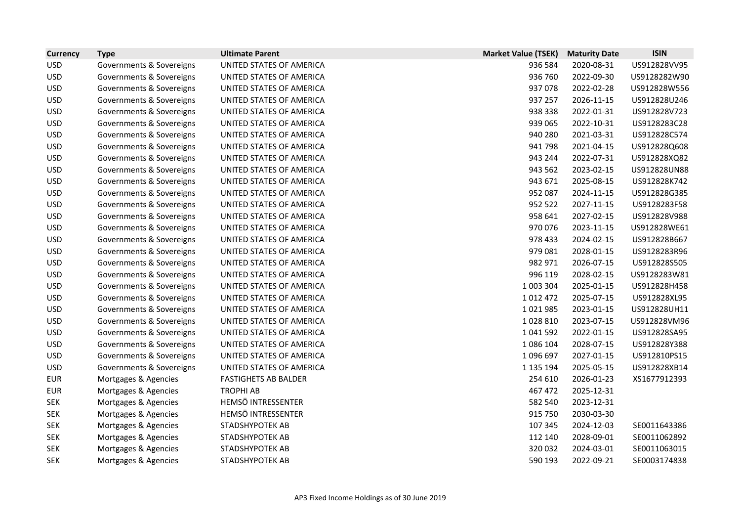| <b>Currency</b> | <b>Type</b>              | <b>Ultimate Parent</b>      | <b>Market Value (TSEK)</b> | <b>Maturity Date</b> | <b>ISIN</b>  |
|-----------------|--------------------------|-----------------------------|----------------------------|----------------------|--------------|
| <b>USD</b>      | Governments & Sovereigns | UNITED STATES OF AMERICA    | 936 584                    | 2020-08-31           | US912828VV95 |
| <b>USD</b>      | Governments & Sovereigns | UNITED STATES OF AMERICA    | 936 760                    | 2022-09-30           | US9128282W90 |
| <b>USD</b>      | Governments & Sovereigns | UNITED STATES OF AMERICA    | 937 078                    | 2022-02-28           | US912828W556 |
| <b>USD</b>      | Governments & Sovereigns | UNITED STATES OF AMERICA    | 937 257                    | 2026-11-15           | US912828U246 |
| <b>USD</b>      | Governments & Sovereigns | UNITED STATES OF AMERICA    | 938 338                    | 2022-01-31           | US912828V723 |
| <b>USD</b>      | Governments & Sovereigns | UNITED STATES OF AMERICA    | 939 065                    | 2022-10-31           | US9128283C28 |
| <b>USD</b>      | Governments & Sovereigns | UNITED STATES OF AMERICA    | 940 280                    | 2021-03-31           | US912828C574 |
| <b>USD</b>      | Governments & Sovereigns | UNITED STATES OF AMERICA    | 941 798                    | 2021-04-15           | US912828Q608 |
| <b>USD</b>      | Governments & Sovereigns | UNITED STATES OF AMERICA    | 943 244                    | 2022-07-31           | US912828XQ82 |
| <b>USD</b>      | Governments & Sovereigns | UNITED STATES OF AMERICA    | 943 562                    | 2023-02-15           | US912828UN88 |
| <b>USD</b>      | Governments & Sovereigns | UNITED STATES OF AMERICA    | 943 671                    | 2025-08-15           | US912828K742 |
| <b>USD</b>      | Governments & Sovereigns | UNITED STATES OF AMERICA    | 952 087                    | 2024-11-15           | US912828G385 |
| <b>USD</b>      | Governments & Sovereigns | UNITED STATES OF AMERICA    | 952 522                    | 2027-11-15           | US9128283F58 |
| <b>USD</b>      | Governments & Sovereigns | UNITED STATES OF AMERICA    | 958 641                    | 2027-02-15           | US912828V988 |
| <b>USD</b>      | Governments & Sovereigns | UNITED STATES OF AMERICA    | 970 076                    | 2023-11-15           | US912828WE61 |
| <b>USD</b>      | Governments & Sovereigns | UNITED STATES OF AMERICA    | 978 433                    | 2024-02-15           | US912828B667 |
| <b>USD</b>      | Governments & Sovereigns | UNITED STATES OF AMERICA    | 979 081                    | 2028-01-15           | US9128283R96 |
| <b>USD</b>      | Governments & Sovereigns | UNITED STATES OF AMERICA    | 982 971                    | 2026-07-15           | US912828S505 |
| <b>USD</b>      | Governments & Sovereigns | UNITED STATES OF AMERICA    | 996 119                    | 2028-02-15           | US9128283W81 |
| <b>USD</b>      | Governments & Sovereigns | UNITED STATES OF AMERICA    | 1 003 304                  | 2025-01-15           | US912828H458 |
| <b>USD</b>      | Governments & Sovereigns | UNITED STATES OF AMERICA    | 1 0 1 2 4 7 2              | 2025-07-15           | US912828XL95 |
| <b>USD</b>      | Governments & Sovereigns | UNITED STATES OF AMERICA    | 1021985                    | 2023-01-15           | US912828UH11 |
| <b>USD</b>      | Governments & Sovereigns | UNITED STATES OF AMERICA    | 1028810                    | 2023-07-15           | US912828VM96 |
| <b>USD</b>      | Governments & Sovereigns | UNITED STATES OF AMERICA    | 1 041 592                  | 2022-01-15           | US912828SA95 |
| <b>USD</b>      | Governments & Sovereigns | UNITED STATES OF AMERICA    | 1 086 104                  | 2028-07-15           | US912828Y388 |
| <b>USD</b>      | Governments & Sovereigns | UNITED STATES OF AMERICA    | 1096697                    | 2027-01-15           | US912810PS15 |
| <b>USD</b>      | Governments & Sovereigns | UNITED STATES OF AMERICA    | 1 135 194                  | 2025-05-15           | US912828XB14 |
| <b>EUR</b>      | Mortgages & Agencies     | <b>FASTIGHETS AB BALDER</b> | 254 610                    | 2026-01-23           | XS1677912393 |
| <b>EUR</b>      | Mortgages & Agencies     | <b>TROPHI AB</b>            | 467 472                    | 2025-12-31           |              |
| <b>SEK</b>      | Mortgages & Agencies     | HEMSÖ INTRESSENTER          | 582 540                    | 2023-12-31           |              |
| <b>SEK</b>      | Mortgages & Agencies     | HEMSÖ INTRESSENTER          | 915 750                    | 2030-03-30           |              |
| <b>SEK</b>      | Mortgages & Agencies     | STADSHYPOTEK AB             | 107 345                    | 2024-12-03           | SE0011643386 |
| <b>SEK</b>      | Mortgages & Agencies     | STADSHYPOTEK AB             | 112 140                    | 2028-09-01           | SE0011062892 |
| <b>SEK</b>      | Mortgages & Agencies     | STADSHYPOTEK AB             | 320 032                    | 2024-03-01           | SE0011063015 |
| <b>SEK</b>      | Mortgages & Agencies     | <b>STADSHYPOTEK AB</b>      | 590 193                    | 2022-09-21           | SE0003174838 |